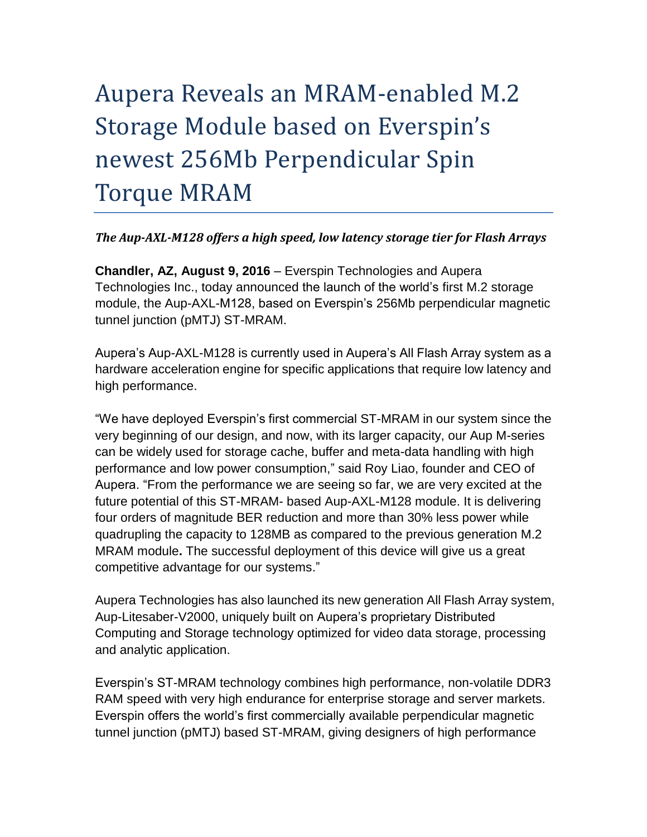# Aupera Reveals an MRAM-enabled M.2 Storage Module based on Everspin's newest 256Mb Perpendicular Spin Torque MRAM

# *The Aup-AXL-M128 offers a high speed, low latency storage tier for Flash Arrays*

**Chandler, AZ, August 9, 2016** – Everspin Technologies and Aupera Technologies Inc., today announced the launch of the world's first M.2 storage module, the Aup-AXL-M128, based on Everspin's 256Mb perpendicular magnetic tunnel junction (pMTJ) ST-MRAM.

Aupera's Aup-AXL-M128 is currently used in Aupera's All Flash Array system as a hardware acceleration engine for specific applications that require low latency and high performance.

"We have deployed Everspin's first commercial ST-MRAM in our system since the very beginning of our design, and now, with its larger capacity, our Aup M-series can be widely used for storage cache, buffer and meta-data handling with high performance and low power consumption," said Roy Liao, founder and CEO of Aupera. "From the performance we are seeing so far, we are very excited at the future potential of this ST-MRAM- based Aup-AXL-M128 module. It is delivering four orders of magnitude BER reduction and more than 30% less power while quadrupling the capacity to 128MB as compared to the previous generation M.2 MRAM module**.** The successful deployment of this device will give us a great competitive advantage for our systems."

Aupera Technologies has also launched its new generation All Flash Array system, Aup-Litesaber-V2000, uniquely built on Aupera's proprietary Distributed Computing and Storage technology optimized for video data storage, processing and analytic application.

Everspin's ST-MRAM technology combines high performance, non-volatile DDR3 RAM speed with very high endurance for enterprise storage and server markets. Everspin offers the world's first commercially available perpendicular magnetic tunnel junction (pMTJ) based ST-MRAM, giving designers of high performance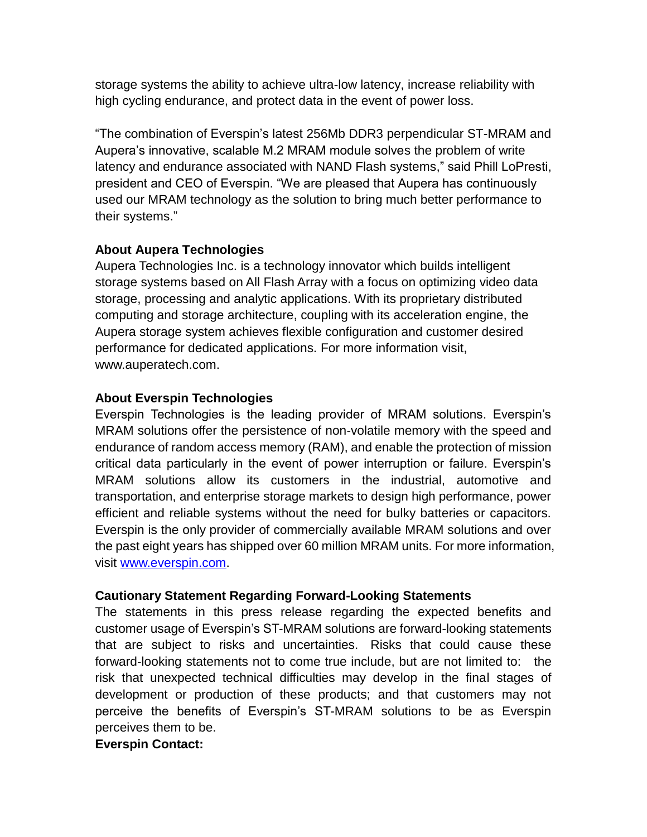storage systems the ability to achieve ultra-low latency, increase reliability with high cycling endurance, and protect data in the event of power loss.

"The combination of Everspin's latest 256Mb DDR3 perpendicular ST-MRAM and Aupera's innovative, scalable M.2 MRAM module solves the problem of write latency and endurance associated with NAND Flash systems," said Phill LoPresti, president and CEO of Everspin. "We are pleased that Aupera has continuously used our MRAM technology as the solution to bring much better performance to their systems."

# **About Aupera Technologies**

Aupera Technologies Inc. is a technology innovator which builds intelligent storage systems based on All Flash Array with a focus on optimizing video data storage, processing and analytic applications. With its proprietary distributed computing and storage architecture, coupling with its acceleration engine, the Aupera storage system achieves flexible configuration and customer desired performance for dedicated applications. For more information visit, www.auperatech.com.

# **About Everspin Technologies**

Everspin Technologies is the leading provider of MRAM solutions. Everspin's MRAM solutions offer the persistence of non-volatile memory with the speed and endurance of random access memory (RAM), and enable the protection of mission critical data particularly in the event of power interruption or failure. Everspin's MRAM solutions allow its customers in the industrial, automotive and transportation, and enterprise storage markets to design high performance, power efficient and reliable systems without the need for bulky batteries or capacitors. Everspin is the only provider of commercially available MRAM solutions and over the past eight years has shipped over 60 million MRAM units. For more information, visit [www.everspin.com.](http://www.everspin.com/)

# **Cautionary Statement Regarding Forward-Looking Statements**

The statements in this press release regarding the expected benefits and customer usage of Everspin's ST-MRAM solutions are forward-looking statements that are subject to risks and uncertainties. Risks that could cause these forward-looking statements not to come true include, but are not limited to: the risk that unexpected technical difficulties may develop in the final stages of development or production of these products; and that customers may not perceive the benefits of Everspin's ST-MRAM solutions to be as Everspin perceives them to be.

# **Everspin Contact:**